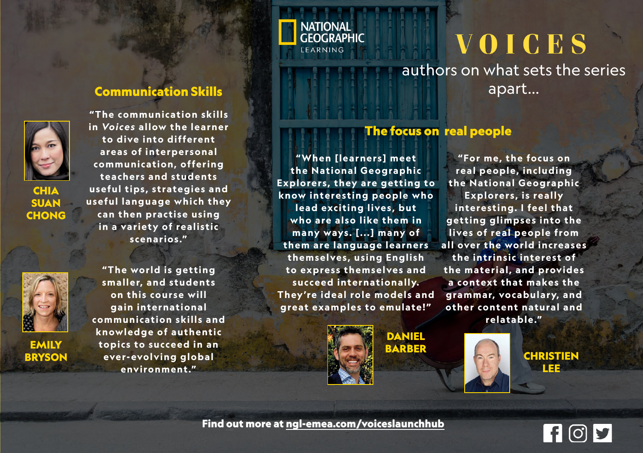### The focus on real people

**" When [learners] meet the National Geographic Explorers, they are getting to know interesting people who** lead exciting lives, but **who are also like them in many ways . [...] many of them are language learners thems el ves , using English to express thems el ves and succeed internationally. They're ideal role models and great examples to emulate!"**

> **CHRISTIEN** LEE

# $F$  $O$  $S$

**"For me, the focus on real people, including the National Geographic Explorers, is really interesting. I feel that**  getting glimpses into the **lives of real people from all over the world increases the intrinsic interest of the material, and provides a context that makes the grammar, vocabulary, and other content natural and relatable."**



**EMILY** BRYSON

## NATIONAL<br>GEOGRAPHIC LEARNING

# VOICES authors on what sets the series apart...



### Communication Skills



CHIA SUAN CHONG



Find out more at [ngl-emea.com/voiceslaunchhub](http://ngl-emea.com/voiceslaunchhub)

DANIEL BARBER

**" The world is getting smaller, and students**  on this course will **gain international communication skills and knowledge of authentic topics to succeed in an ever- evol ving global environment."**